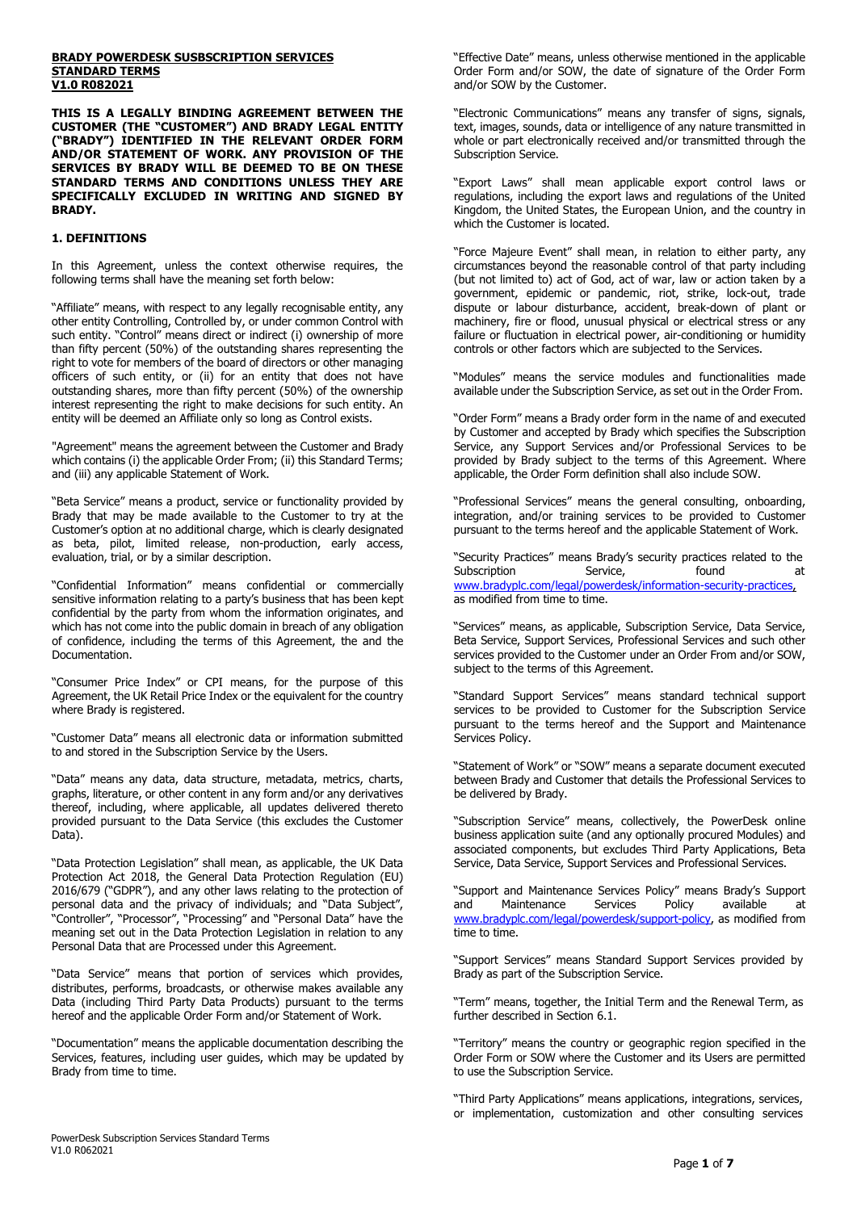#### **BRADY POWERDESK SUSBSCRIPTION SERVICES STANDARD TERMS V1.0 R082021**

**THIS IS A LEGALLY BINDING AGREEMENT BETWEEN THE CUSTOMER (THE "CUSTOMER") AND BRADY LEGAL ENTITY ("BRADY") IDENTIFIED IN THE RELEVANT ORDER FORM AND/OR STATEMENT OF WORK. ANY PROVISION OF THE SERVICES BY BRADY WILL BE DEEMED TO BE ON THESE STANDARD TERMS AND CONDITIONS UNLESS THEY ARE SPECIFICALLY EXCLUDED IN WRITING AND SIGNED BY BRADY.**

### **1. DEFINITIONS**

In this Agreement, unless the context otherwise requires, the following terms shall have the meaning set forth below:

"Affiliate" means, with respect to any legally recognisable entity, any other entity Controlling, Controlled by, or under common Control with such entity. "Control" means direct or indirect (i) ownership of more than fifty percent (50%) of the outstanding shares representing the right to vote for members of the board of directors or other managing officers of such entity, or (ii) for an entity that does not have outstanding shares, more than fifty percent (50%) of the ownership interest representing the right to make decisions for such entity. An entity will be deemed an Affiliate only so long as Control exists.

"Agreement" means the agreement between the Customer and Brady which contains (i) the applicable Order From; (ii) this Standard Terms; and (iii) any applicable Statement of Work.

"Beta Service" means a product, service or functionality provided by Brady that may be made available to the Customer to try at the Customer's option at no additional charge, which is clearly designated as beta, pilot, limited release, non-production, early access, evaluation, trial, or by a similar description.

"Confidential Information" means confidential or commercially sensitive information relating to a party's business that has been kept confidential by the party from whom the information originates, and which has not come into the public domain in breach of any obligation of confidence, including the terms of this Agreement, the and the Documentation.

"Consumer Price Index" or CPI means, for the purpose of this Agreement, the UK Retail Price Index or the equivalent for the country where Brady is registered.

"Customer Data" means all electronic data or information submitted to and stored in the Subscription Service by the Users.

"Data" means any data, data structure, metadata, metrics, charts, graphs, literature, or other content in any form and/or any derivatives thereof, including, where applicable, all updates delivered thereto provided pursuant to the Data Service (this excludes the Customer Data).

"Data Protection Legislation" shall mean, as applicable, the UK Data Protection Act 2018, the General Data Protection Regulation (EU) 2016/679 ("GDPR"), and any other laws relating to the protection of personal data and the privacy of individuals; and "Data Subject", "Controller", "Processor", "Processing" and "Personal Data" have the meaning set out in the Data Protection Legislation in relation to any Personal Data that are Processed under this Agreement.

"Data Service" means that portion of services which provides, distributes, performs, broadcasts, or otherwise makes available any Data (including Third Party Data Products) pursuant to the terms hereof and the applicable Order Form and/or Statement of Work.

"Documentation" means the applicable documentation describing the Services, features, including user guides, which may be updated by Brady from time to time.

"Effective Date" means, unless otherwise mentioned in the applicable Order Form and/or SOW, the date of signature of the Order Form and/or SOW by the Customer.

"Electronic Communications" means any transfer of signs, signals, text, images, sounds, data or intelligence of any nature transmitted in whole or part electronically received and/or transmitted through the Subscription Service.

"Export Laws" shall mean applicable export control laws or regulations, including the export laws and regulations of the United Kingdom, the United States, the European Union, and the country in which the Customer is located.

"Force Majeure Event" shall mean, in relation to either party, any circumstances beyond the reasonable control of that party including (but not limited to) act of God, act of war, law or action taken by a government, epidemic or pandemic, riot, strike, lock-out, trade dispute or labour disturbance, accident, break-down of plant or machinery, fire or flood, unusual physical or electrical stress or any failure or fluctuation in electrical power, air-conditioning or humidity controls or other factors which are subjected to the Services.

"Modules" means the service modules and functionalities made available under the Subscription Service, as set out in the Order From.

"Order Form" means a Brady order form in the name of and executed by Customer and accepted by Brady which specifies the Subscription Service, any Support Services and/or Professional Services to be provided by Brady subject to the terms of this Agreement. Where applicable, the Order Form definition shall also include SOW.

"Professional Services" means the general consulting, onboarding, integration, and/or training services to be provided to Customer pursuant to the terms hereof and the applicable Statement of Work.

"Security Practices" means Brady's security practices related to the Subscription Service, tound at [www.bradyplc.com/legal/powerdesk/information-security-practices,](http://www.bradyplc.com/legal/powerdesk/information-security-practices) as modified from time to time.

"Services" means, as applicable, Subscription Service, Data Service, Beta Service, Support Services, Professional Services and such other services provided to the Customer under an Order From and/or SOW, subject to the terms of this Agreement.

"Standard Support Services" means standard technical support services to be provided to Customer for the Subscription Service pursuant to the terms hereof and the Support and Maintenance Services Policy.

"Statement of Work" or "SOW" means a separate document executed between Brady and Customer that details the Professional Services to be delivered by Brady.

"Subscription Service" means, collectively, the PowerDesk online business application suite (and any optionally procured Modules) and associated components, but excludes Third Party Applications, Beta Service, Data Service, Support Services and Professional Services.

"Support and Maintenance Services Policy" means Brady's Support Maintenance [www.bradyplc.com/legal/powerdesk/support-policy, a](http://www.bradyplc.com/legal/powerdesk/support-policy)s modified from time to time.

"Support Services" means Standard Support Services provided by Brady as part of the Subscription Service.

"Term" means, together, the Initial Term and the Renewal Term, as further described in Section 6.1.

"Territory" means the country or geographic region specified in the Order Form or SOW where the Customer and its Users are permitted to use the Subscription Service.

"Third Party Applications" means applications, integrations, services, or implementation, customization and other consulting services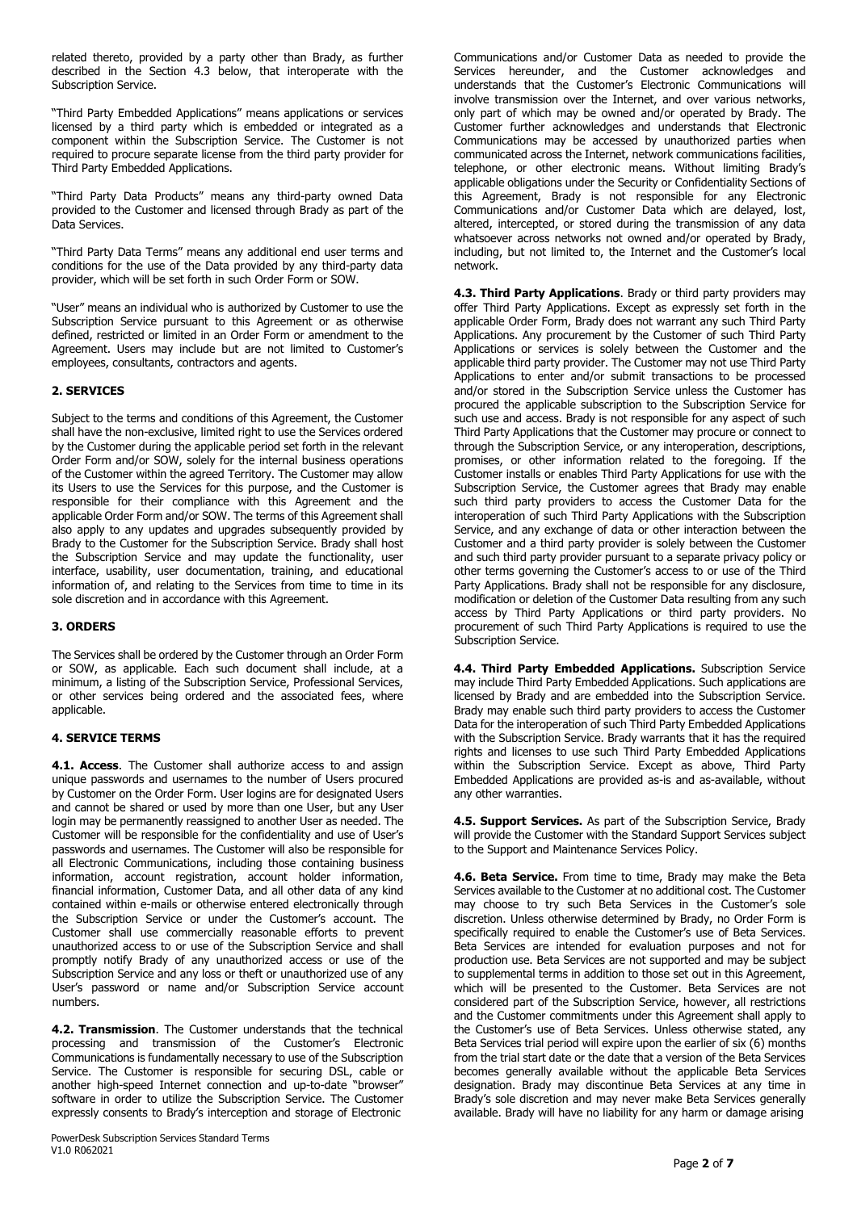related thereto, provided by a party other than Brady, as further described in the Section 4.3 below, that interoperate with the Subscription Service.

"Third Party Embedded Applications" means applications or services licensed by a third party which is embedded or integrated as a component within the Subscription Service. The Customer is not required to procure separate license from the third party provider for Third Party Embedded Applications.

"Third Party Data Products" means any third-party owned Data provided to the Customer and licensed through Brady as part of the Data Services.

"Third Party Data Terms" means any additional end user terms and conditions for the use of the Data provided by any third-party data provider, which will be set forth in such Order Form or SOW.

"User" means an individual who is authorized by Customer to use the Subscription Service pursuant to this Agreement or as otherwise defined, restricted or limited in an Order Form or amendment to the Agreement. Users may include but are not limited to Customer's employees, consultants, contractors and agents.

# **2. SERVICES**

Subject to the terms and conditions of this Agreement, the Customer shall have the non-exclusive, limited right to use the Services ordered by the Customer during the applicable period set forth in the relevant Order Form and/or SOW, solely for the internal business operations of the Customer within the agreed Territory. The Customer may allow its Users to use the Services for this purpose, and the Customer is responsible for their compliance with this Agreement and the applicable Order Form and/or SOW. The terms of this Agreement shall also apply to any updates and upgrades subsequently provided by Brady to the Customer for the Subscription Service. Brady shall host the Subscription Service and may update the functionality, user interface, usability, user documentation, training, and educational information of, and relating to the Services from time to time in its sole discretion and in accordance with this Agreement.

## **3. ORDERS**

The Services shall be ordered by the Customer through an Order Form or SOW, as applicable. Each such document shall include, at a minimum, a listing of the Subscription Service, Professional Services, or other services being ordered and the associated fees, where applicable.

# **4. SERVICE TERMS**

**4.1. Access**. The Customer shall authorize access to and assign unique passwords and usernames to the number of Users procured by Customer on the Order Form. User logins are for designated Users and cannot be shared or used by more than one User, but any User login may be permanently reassigned to another User as needed. The Customer will be responsible for the confidentiality and use of User's passwords and usernames. The Customer will also be responsible for all Electronic Communications, including those containing business information, account registration, account holder information, financial information, Customer Data, and all other data of any kind contained within e-mails or otherwise entered electronically through the Subscription Service or under the Customer's account. The Customer shall use commercially reasonable efforts to prevent unauthorized access to or use of the Subscription Service and shall promptly notify Brady of any unauthorized access or use of the Subscription Service and any loss or theft or unauthorized use of any User's password or name and/or Subscription Service account numbers.

**4.2. Transmission**. The Customer understands that the technical processing and transmission of the Customer's Electronic Communications is fundamentally necessary to use of the Subscription Service. The Customer is responsible for securing DSL, cable or another high-speed Internet connection and up-to-date "browser" software in order to utilize the Subscription Service. The Customer expressly consents to Brady's interception and storage of Electronic

Communications and/or Customer Data as needed to provide the Services hereunder, and the Customer acknowledges and understands that the Customer's Electronic Communications will involve transmission over the Internet, and over various networks, only part of which may be owned and/or operated by Brady. The Customer further acknowledges and understands that Electronic Communications may be accessed by unauthorized parties when communicated across the Internet, network communications facilities, telephone, or other electronic means. Without limiting Brady's applicable obligations under the Security or Confidentiality Sections of this Agreement, Brady is not responsible for any Electronic Communications and/or Customer Data which are delayed, lost, altered, intercepted, or stored during the transmission of any data whatsoever across networks not owned and/or operated by Brady, including, but not limited to, the Internet and the Customer's local network.

**4.3. Third Party Applications**. Brady or third party providers may offer Third Party Applications. Except as expressly set forth in the applicable Order Form, Brady does not warrant any such Third Party Applications. Any procurement by the Customer of such Third Party Applications or services is solely between the Customer and the applicable third party provider. The Customer may not use Third Party Applications to enter and/or submit transactions to be processed and/or stored in the Subscription Service unless the Customer has procured the applicable subscription to the Subscription Service for such use and access. Brady is not responsible for any aspect of such Third Party Applications that the Customer may procure or connect to through the Subscription Service, or any interoperation, descriptions, promises, or other information related to the foregoing. If the Customer installs or enables Third Party Applications for use with the Subscription Service, the Customer agrees that Brady may enable such third party providers to access the Customer Data for the interoperation of such Third Party Applications with the Subscription Service, and any exchange of data or other interaction between the Customer and a third party provider is solely between the Customer and such third party provider pursuant to a separate privacy policy or other terms governing the Customer's access to or use of the Third Party Applications. Brady shall not be responsible for any disclosure, modification or deletion of the Customer Data resulting from any such access by Third Party Applications or third party providers. No procurement of such Third Party Applications is required to use the Subscription Service.

**4.4. Third Party Embedded Applications.** Subscription Service may include Third Party Embedded Applications. Such applications are licensed by Brady and are embedded into the Subscription Service. Brady may enable such third party providers to access the Customer Data for the interoperation of such Third Party Embedded Applications with the Subscription Service. Brady warrants that it has the required rights and licenses to use such Third Party Embedded Applications within the Subscription Service. Except as above, Third Party Embedded Applications are provided as-is and as-available, without any other warranties.

**4.5. Support Services.** As part of the Subscription Service, Brady will provide the Customer with the Standard Support Services subject to the Support and Maintenance Services Policy.

**4.6. Beta Service.** From time to time, Brady may make the Beta Services available to the Customer at no additional cost. The Customer may choose to try such Beta Services in the Customer's sole discretion. Unless otherwise determined by Brady, no Order Form is specifically required to enable the Customer's use of Beta Services. Beta Services are intended for evaluation purposes and not for production use. Beta Services are not supported and may be subject to supplemental terms in addition to those set out in this Agreement, which will be presented to the Customer. Beta Services are not considered part of the Subscription Service, however, all restrictions and the Customer commitments under this Agreement shall apply to the Customer's use of Beta Services. Unless otherwise stated, any Beta Services trial period will expire upon the earlier of six (6) months from the trial start date or the date that a version of the Beta Services becomes generally available without the applicable Beta Services designation. Brady may discontinue Beta Services at any time in Brady's sole discretion and may never make Beta Services generally available. Brady will have no liability for any harm or damage arising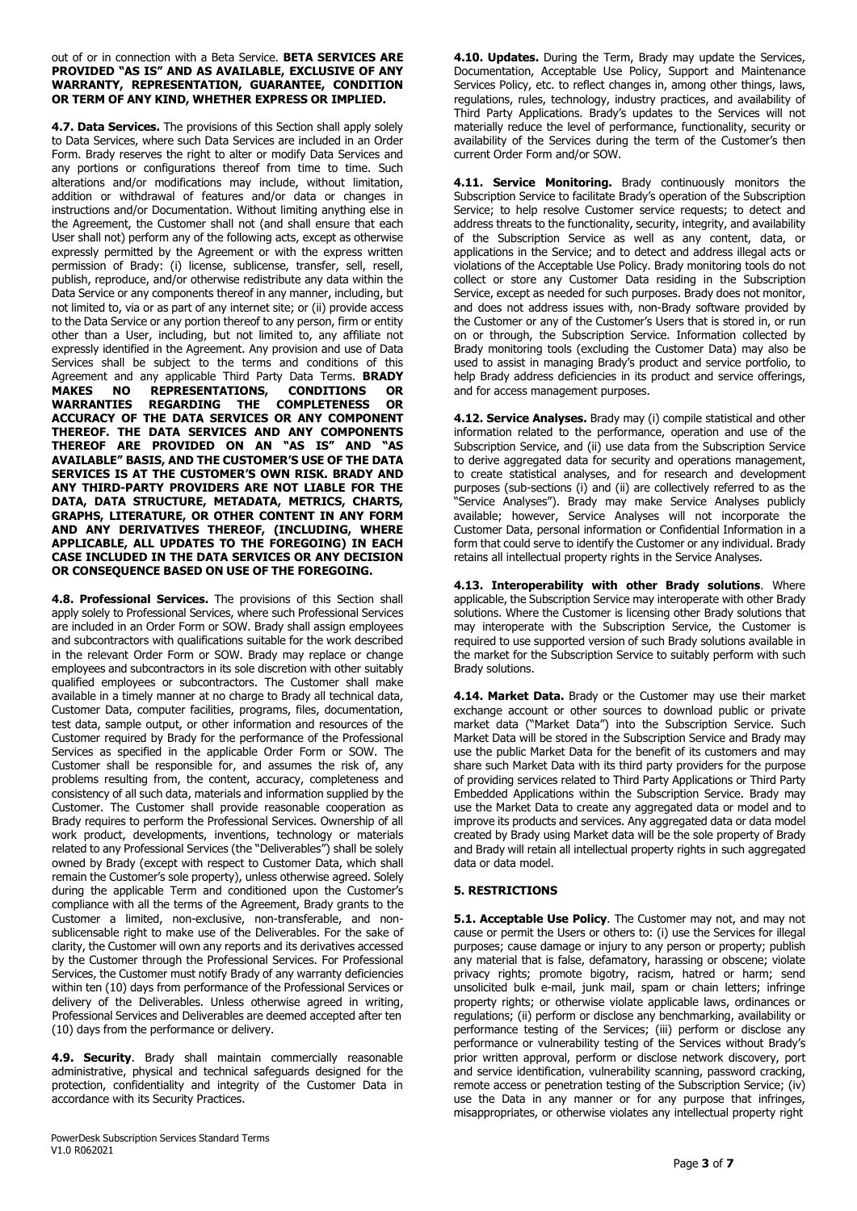#### out of or in connection with a Beta Service. **BETA SERVICES ARE PROVIDED "AS IS" AND AS AVAILABLE, EXCLUSIVE OF ANY WARRANTY, REPRESENTATION, GUARANTEE, CONDITION OR TERM OF ANY KIND, WHETHER EXPRESS OR IMPLIED.**

**4.7. Data Services.** The provisions of this Section shall apply solely to Data Services, where such Data Services are included in an Order Form. Brady reserves the right to alter or modify Data Services and any portions or configurations thereof from time to time. Such alterations and/or modifications may include, without limitation, addition or withdrawal of features and/or data or changes in instructions and/or Documentation. Without limiting anything else in the Agreement, the Customer shall not (and shall ensure that each User shall not) perform any of the following acts, except as otherwise expressly permitted by the Agreement or with the express written permission of Brady: (i) license, sublicense, transfer, sell, resell, publish, reproduce, and/or otherwise redistribute any data within the Data Service or any components thereof in any manner, including, but not limited to, via or as part of any internet site; or (ii) provide access to the Data Service or any portion thereof to any person, firm or entity other than a User, including, but not limited to, any affiliate not expressly identified in the Agreement. Any provision and use of Data Services shall be subject to the terms and conditions of this Agreement and any applicable Third Party Data Terms. **BRADY MAKES NO REPRESENTATIONS, CONDITIONS OR WARRANTIES REGARDING THE COMPLETENESS OR ACCURACY OF THE DATA SERVICES OR ANY COMPONENT THEREOF. THE DATA SERVICES AND ANY COMPONENTS THEREOF ARE PROVIDED ON AN "AS IS" AND "AS AVAILABLE" BASIS, AND THE CUSTOMER'S USE OF THE DATA SERVICES IS AT THE CUSTOMER'S OWN RISK. BRADY AND ANY THIRD-PARTY PROVIDERS ARE NOT LIABLE FOR THE DATA, DATA STRUCTURE, METADATA, METRICS, CHARTS, GRAPHS, LITERATURE, OR OTHER CONTENT IN ANY FORM AND ANY DERIVATIVES THEREOF, (INCLUDING, WHERE APPLICABLE, ALL UPDATES TO THE FOREGOING) IN EACH CASE INCLUDED IN THE DATA SERVICES OR ANY DECISION OR CONSEQUENCE BASED ON USE OF THE FOREGOING.**

**4.8. Professional Services.** The provisions of this Section shall apply solely to Professional Services, where such Professional Services are included in an Order Form or SOW. Brady shall assign employees and subcontractors with qualifications suitable for the work described in the relevant Order Form or SOW. Brady may replace or change employees and subcontractors in its sole discretion with other suitably qualified employees or subcontractors. The Customer shall make available in a timely manner at no charge to Brady all technical data, Customer Data, computer facilities, programs, files, documentation, test data, sample output, or other information and resources of the Customer required by Brady for the performance of the Professional Services as specified in the applicable Order Form or SOW. The Customer shall be responsible for, and assumes the risk of, any problems resulting from, the content, accuracy, completeness and consistency of all such data, materials and information supplied by the Customer. The Customer shall provide reasonable cooperation as Brady requires to perform the Professional Services. Ownership of all work product, developments, inventions, technology or materials related to any Professional Services (the "Deliverables") shall be solely owned by Brady (except with respect to Customer Data, which shall remain the Customer's sole property), unless otherwise agreed. Solely during the applicable Term and conditioned upon the Customer's compliance with all the terms of the Agreement, Brady grants to the Customer a limited, non-exclusive, non-transferable, and nonsublicensable right to make use of the Deliverables. For the sake of clarity, the Customer will own any reports and its derivatives accessed by the Customer through the Professional Services. For Professional Services, the Customer must notify Brady of any warranty deficiencies within ten (10) days from performance of the Professional Services or delivery of the Deliverables. Unless otherwise agreed in writing, Professional Services and Deliverables are deemed accepted after ten (10) days from the performance or delivery.

**4.9. Security**. Brady shall maintain commercially reasonable administrative, physical and technical safeguards designed for the protection, confidentiality and integrity of the Customer Data in accordance with its Security Practices.

**4.10. Updates.** During the Term, Brady may update the Services, Documentation, Acceptable Use Policy, Support and Maintenance Services Policy, etc. to reflect changes in, among other things, laws, regulations, rules, technology, industry practices, and availability of Third Party Applications. Brady's updates to the Services will not materially reduce the level of performance, functionality, security or availability of the Services during the term of the Customer's then current Order Form and/or SOW.

**4.11. Service Monitoring.** Brady continuously monitors the Subscription Service to facilitate Brady's operation of the Subscription Service; to help resolve Customer service requests; to detect and address threats to the functionality, security, integrity, and availability of the Subscription Service as well as any content, data, or applications in the Service; and to detect and address illegal acts or violations of the Acceptable Use Policy. Brady monitoring tools do not collect or store any Customer Data residing in the Subscription Service, except as needed for such purposes. Brady does not monitor, and does not address issues with, non-Brady software provided by the Customer or any of the Customer's Users that is stored in, or run on or through, the Subscription Service. Information collected by Brady monitoring tools (excluding the Customer Data) may also be used to assist in managing Brady's product and service portfolio, to help Brady address deficiencies in its product and service offerings, and for access management purposes.

**4.12. Service Analyses.** Brady may (i) compile statistical and other information related to the performance, operation and use of the Subscription Service, and (ii) use data from the Subscription Service to derive aggregated data for security and operations management, to create statistical analyses, and for research and development purposes (sub-sections (i) and (ii) are collectively referred to as the "Service Analyses"). Brady may make Service Analyses publicly available; however, Service Analyses will not incorporate the Customer Data, personal information or Confidential Information in a form that could serve to identify the Customer or any individual. Brady retains all intellectual property rights in the Service Analyses.

**4.13. Interoperability with other Brady solutions**. Where applicable, the Subscription Service may interoperate with other Brady solutions. Where the Customer is licensing other Brady solutions that may interoperate with the Subscription Service, the Customer is required to use supported version of such Brady solutions available in the market for the Subscription Service to suitably perform with such Brady solutions.

**4.14. Market Data.** Brady or the Customer may use their market exchange account or other sources to download public or private market data ("Market Data") into the Subscription Service. Such Market Data will be stored in the Subscription Service and Brady may use the public Market Data for the benefit of its customers and may share such Market Data with its third party providers for the purpose of providing services related to Third Party Applications or Third Party Embedded Applications within the Subscription Service. Brady may use the Market Data to create any aggregated data or model and to improve its products and services. Any aggregated data or data model created by Brady using Market data will be the sole property of Brady and Brady will retain all intellectual property rights in such aggregated data or data model.

# **5. RESTRICTIONS**

**5.1. Acceptable Use Policy**. The Customer may not, and may not cause or permit the Users or others to: (i) use the Services for illegal purposes; cause damage or injury to any person or property; publish any material that is false, defamatory, harassing or obscene; violate privacy rights; promote bigotry, racism, hatred or harm; send unsolicited bulk e-mail, junk mail, spam or chain letters; infringe property rights; or otherwise violate applicable laws, ordinances or regulations; (ii) perform or disclose any benchmarking, availability or performance testing of the Services; (iii) perform or disclose any performance or vulnerability testing of the Services without Brady's prior written approval, perform or disclose network discovery, port and service identification, vulnerability scanning, password cracking, remote access or penetration testing of the Subscription Service; (iv) use the Data in any manner or for any purpose that infringes, misappropriates, or otherwise violates any intellectual property right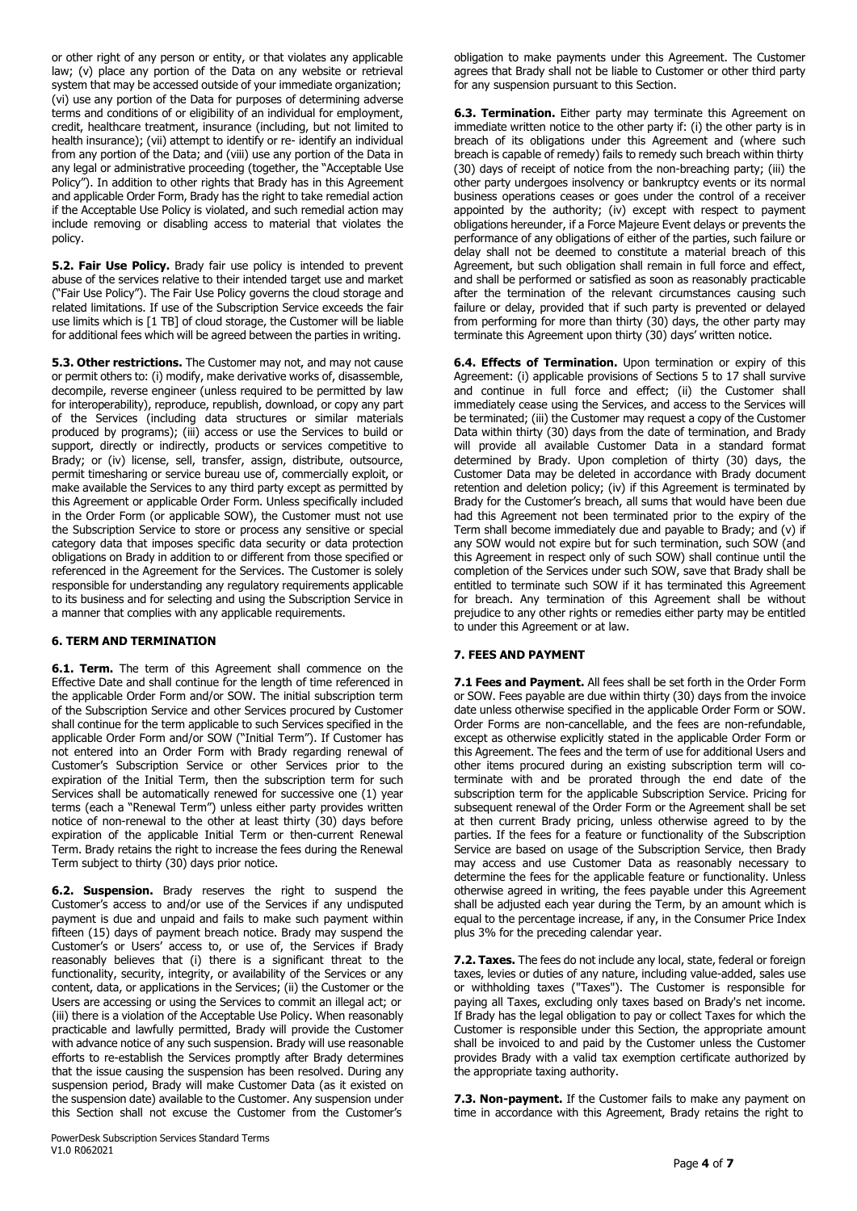or other right of any person or entity, or that violates any applicable law; (v) place any portion of the Data on any website or retrieval system that may be accessed outside of your immediate organization; (vi) use any portion of the Data for purposes of determining adverse terms and conditions of or eligibility of an individual for employment, credit, healthcare treatment, insurance (including, but not limited to health insurance); (vii) attempt to identify or re- identify an individual from any portion of the Data; and (viii) use any portion of the Data in any legal or administrative proceeding (together, the "Acceptable Use Policy"). In addition to other rights that Brady has in this Agreement and applicable Order Form, Brady has the right to take remedial action if the Acceptable Use Policy is violated, and such remedial action may include removing or disabling access to material that violates the policy.

**5.2. Fair Use Policy.** Brady fair use policy is intended to prevent abuse of the services relative to their intended target use and market ("Fair Use Policy"). The Fair Use Policy governs the cloud storage and related limitations. If use of the Subscription Service exceeds the fair use limits which is [1 TB] of cloud storage, the Customer will be liable for additional fees which will be agreed between the parties in writing.

**5.3. Other restrictions.** The Customer may not, and may not cause or permit others to: (i) modify, make derivative works of, disassemble, decompile, reverse engineer (unless required to be permitted by law for interoperability), reproduce, republish, download, or copy any part of the Services (including data structures or similar materials produced by programs); (iii) access or use the Services to build or support, directly or indirectly, products or services competitive to Brady; or (iv) license, sell, transfer, assign, distribute, outsource, permit timesharing or service bureau use of, commercially exploit, or make available the Services to any third party except as permitted by this Agreement or applicable Order Form. Unless specifically included in the Order Form (or applicable SOW), the Customer must not use the Subscription Service to store or process any sensitive or special category data that imposes specific data security or data protection obligations on Brady in addition to or different from those specified or referenced in the Agreement for the Services. The Customer is solely responsible for understanding any regulatory requirements applicable to its business and for selecting and using the Subscription Service in a manner that complies with any applicable requirements.

# **6. TERM AND TERMINATION**

**6.1. Term.** The term of this Agreement shall commence on the Effective Date and shall continue for the length of time referenced in the applicable Order Form and/or SOW. The initial subscription term of the Subscription Service and other Services procured by Customer shall continue for the term applicable to such Services specified in the applicable Order Form and/or SOW ("Initial Term"). If Customer has not entered into an Order Form with Brady regarding renewal of Customer's Subscription Service or other Services prior to the expiration of the Initial Term, then the subscription term for such Services shall be automatically renewed for successive one (1) year terms (each a "Renewal Term") unless either party provides written notice of non-renewal to the other at least thirty (30) days before expiration of the applicable Initial Term or then-current Renewal Term. Brady retains the right to increase the fees during the Renewal Term subject to thirty (30) days prior notice.

**6.2. Suspension.** Brady reserves the right to suspend the Customer's access to and/or use of the Services if any undisputed payment is due and unpaid and fails to make such payment within fifteen (15) days of payment breach notice. Brady may suspend the Customer's or Users' access to, or use of, the Services if Brady reasonably believes that (i) there is a significant threat to the functionality, security, integrity, or availability of the Services or any content, data, or applications in the Services; (ii) the Customer or the Users are accessing or using the Services to commit an illegal act; or (iii) there is a violation of the Acceptable Use Policy. When reasonably practicable and lawfully permitted, Brady will provide the Customer with advance notice of any such suspension. Brady will use reasonable efforts to re-establish the Services promptly after Brady determines that the issue causing the suspension has been resolved. During any suspension period, Brady will make Customer Data (as it existed on the suspension date) available to the Customer. Any suspension under this Section shall not excuse the Customer from the Customer's

obligation to make payments under this Agreement. The Customer agrees that Brady shall not be liable to Customer or other third party for any suspension pursuant to this Section.

**6.3. Termination.** Either party may terminate this Agreement on immediate written notice to the other party if: (i) the other party is in breach of its obligations under this Agreement and (where such breach is capable of remedy) fails to remedy such breach within thirty (30) days of receipt of notice from the non-breaching party; (iii) the other party undergoes insolvency or bankruptcy events or its normal business operations ceases or goes under the control of a receiver appointed by the authority; (iv) except with respect to payment obligations hereunder, if a Force Majeure Event delays or prevents the performance of any obligations of either of the parties, such failure or delay shall not be deemed to constitute a material breach of this Agreement, but such obligation shall remain in full force and effect, and shall be performed or satisfied as soon as reasonably practicable after the termination of the relevant circumstances causing such failure or delay, provided that if such party is prevented or delayed from performing for more than thirty (30) days, the other party may terminate this Agreement upon thirty (30) days' written notice.

**6.4. Effects of Termination.** Upon termination or expiry of this Agreement: (i) applicable provisions of Sections 5 to 17 shall survive and continue in full force and effect; (ii) the Customer shall immediately cease using the Services, and access to the Services will be terminated; (iii) the Customer may request a copy of the Customer Data within thirty (30) days from the date of termination, and Brady will provide all available Customer Data in a standard format determined by Brady. Upon completion of thirty (30) days, the Customer Data may be deleted in accordance with Brady document retention and deletion policy; (iv) if this Agreement is terminated by Brady for the Customer's breach, all sums that would have been due had this Agreement not been terminated prior to the expiry of the Term shall become immediately due and payable to Brady; and (v) if any SOW would not expire but for such termination, such SOW (and this Agreement in respect only of such SOW) shall continue until the completion of the Services under such SOW, save that Brady shall be entitled to terminate such SOW if it has terminated this Agreement for breach. Any termination of this Agreement shall be without prejudice to any other rights or remedies either party may be entitled to under this Agreement or at law.

# **7. FEES AND PAYMENT**

**7.1 Fees and Payment.** All fees shall be set forth in the Order Form or SOW. Fees payable are due within thirty (30) days from the invoice date unless otherwise specified in the applicable Order Form or SOW. Order Forms are non-cancellable, and the fees are non-refundable, except as otherwise explicitly stated in the applicable Order Form or this Agreement. The fees and the term of use for additional Users and other items procured during an existing subscription term will coterminate with and be prorated through the end date of the subscription term for the applicable Subscription Service. Pricing for subsequent renewal of the Order Form or the Agreement shall be set at then current Brady pricing, unless otherwise agreed to by the parties. If the fees for a feature or functionality of the Subscription Service are based on usage of the Subscription Service, then Brady may access and use Customer Data as reasonably necessary to determine the fees for the applicable feature or functionality. Unless otherwise agreed in writing, the fees payable under this Agreement shall be adjusted each year during the Term, by an amount which is equal to the percentage increase, if any, in the Consumer Price Index plus 3% for the preceding calendar year.

**7.2. Taxes.** The fees do not include any local, state, federal or foreign taxes, levies or duties of any nature, including value-added, sales use or withholding taxes ("Taxes"). The Customer is responsible for paying all Taxes, excluding only taxes based on Brady's net income. If Brady has the legal obligation to pay or collect Taxes for which the Customer is responsible under this Section, the appropriate amount shall be invoiced to and paid by the Customer unless the Customer provides Brady with a valid tax exemption certificate authorized by the appropriate taxing authority.

**7.3. Non-payment.** If the Customer fails to make any payment on time in accordance with this Agreement, Brady retains the right to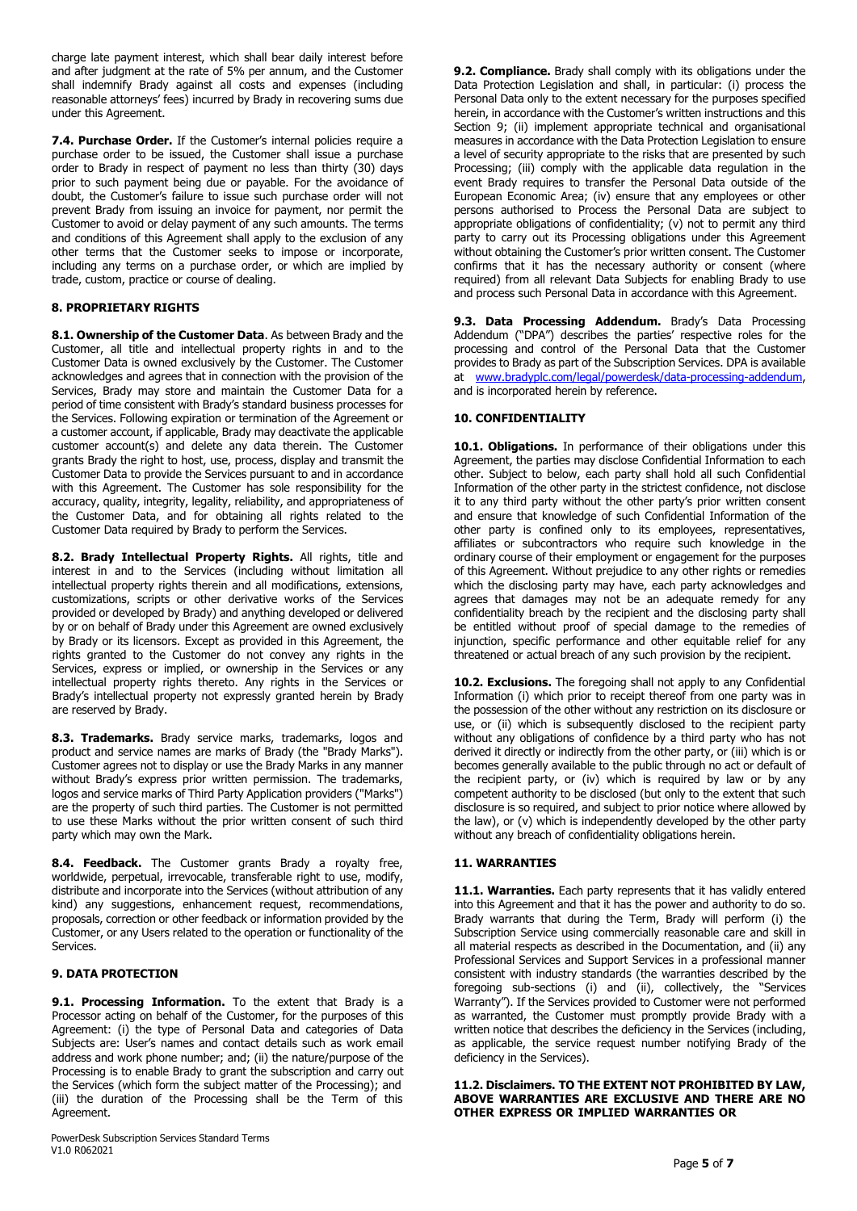charge late payment interest, which shall bear daily interest before and after judgment at the rate of 5% per annum, and the Customer shall indemnify Brady against all costs and expenses (including reasonable attorneys' fees) incurred by Brady in recovering sums due under this Agreement.

**7.4. Purchase Order.** If the Customer's internal policies require a purchase order to be issued, the Customer shall issue a purchase order to Brady in respect of payment no less than thirty (30) days prior to such payment being due or payable. For the avoidance of doubt, the Customer's failure to issue such purchase order will not prevent Brady from issuing an invoice for payment, nor permit the Customer to avoid or delay payment of any such amounts. The terms and conditions of this Agreement shall apply to the exclusion of any other terms that the Customer seeks to impose or incorporate, including any terms on a purchase order, or which are implied by trade, custom, practice or course of dealing.

# **8. PROPRIETARY RIGHTS**

**8.1. Ownership of the Customer Data**. As between Brady and the Customer, all title and intellectual property rights in and to the Customer Data is owned exclusively by the Customer. The Customer acknowledges and agrees that in connection with the provision of the Services, Brady may store and maintain the Customer Data for a period of time consistent with Brady's standard business processes for the Services. Following expiration or termination of the Agreement or a customer account, if applicable, Brady may deactivate the applicable customer account(s) and delete any data therein. The Customer grants Brady the right to host, use, process, display and transmit the Customer Data to provide the Services pursuant to and in accordance with this Agreement. The Customer has sole responsibility for the accuracy, quality, integrity, legality, reliability, and appropriateness of the Customer Data, and for obtaining all rights related to the Customer Data required by Brady to perform the Services.

**8.2. Brady Intellectual Property Rights.** All rights, title and interest in and to the Services (including without limitation all intellectual property rights therein and all modifications, extensions, customizations, scripts or other derivative works of the Services provided or developed by Brady) and anything developed or delivered by or on behalf of Brady under this Agreement are owned exclusively by Brady or its licensors. Except as provided in this Agreement, the rights granted to the Customer do not convey any rights in the Services, express or implied, or ownership in the Services or any intellectual property rights thereto. Any rights in the Services or Brady's intellectual property not expressly granted herein by Brady are reserved by Brady.

**8.3. Trademarks.** Brady service marks, trademarks, logos and product and service names are marks of Brady (the "Brady Marks"). Customer agrees not to display or use the Brady Marks in any manner without Brady's express prior written permission. The trademarks, logos and service marks of Third Party Application providers ("Marks") are the property of such third parties. The Customer is not permitted to use these Marks without the prior written consent of such third party which may own the Mark.

**8.4. Feedback.** The Customer grants Brady a royalty free, worldwide, perpetual, irrevocable, transferable right to use, modify, distribute and incorporate into the Services (without attribution of any kind) any suggestions, enhancement request, recommendations, proposals, correction or other feedback or information provided by the Customer, or any Users related to the operation or functionality of the Services.

# **9. DATA PROTECTION**

**9.1. Processing Information.** To the extent that Brady is a Processor acting on behalf of the Customer, for the purposes of this Agreement: (i) the type of Personal Data and categories of Data Subjects are: User's names and contact details such as work email address and work phone number; and; (ii) the nature/purpose of the Processing is to enable Brady to grant the subscription and carry out the Services (which form the subject matter of the Processing); and (iii) the duration of the Processing shall be the Term of this Agreement.

PowerDesk Subscription Services Standard Terms V1.0 R062021

**9.2. Compliance.** Brady shall comply with its obligations under the Data Protection Legislation and shall, in particular: (i) process the Personal Data only to the extent necessary for the purposes specified herein, in accordance with the Customer's written instructions and this Section 9: (ii) implement appropriate technical and organisational measures in accordance with the Data Protection Legislation to ensure a level of security appropriate to the risks that are presented by such Processing; (iii) comply with the applicable data regulation in the event Brady requires to transfer the Personal Data outside of the European Economic Area; (iv) ensure that any employees or other persons authorised to Process the Personal Data are subject to appropriate obligations of confidentiality; (v) not to permit any third party to carry out its Processing obligations under this Agreement without obtaining the Customer's prior written consent. The Customer confirms that it has the necessary authority or consent (where required) from all relevant Data Subjects for enabling Brady to use and process such Personal Data in accordance with this Agreement.

**9.3. Data Processing Addendum.** Brady's Data Processing Addendum ("DPA") describes the parties' respective roles for the processing and control of the Personal Data that the Customer provides to Brady as part of the Subscription Services. DPA is available at [www.bradyplc.com/legal/powerdesk/data-processing-addendum,](http://www.bradyplc.com/legal/powerdesk/data-processing-addendum) and is incorporated herein by reference.

### **10. CONFIDENTIALITY**

**10.1. Obligations.** In performance of their obligations under this Agreement, the parties may disclose Confidential Information to each other. Subject to below, each party shall hold all such Confidential Information of the other party in the strictest confidence, not disclose it to any third party without the other party's prior written consent and ensure that knowledge of such Confidential Information of the other party is confined only to its employees, representatives, affiliates or subcontractors who require such knowledge in the ordinary course of their employment or engagement for the purposes of this Agreement. Without prejudice to any other rights or remedies which the disclosing party may have, each party acknowledges and agrees that damages may not be an adequate remedy for any confidentiality breach by the recipient and the disclosing party shall be entitled without proof of special damage to the remedies of injunction, specific performance and other equitable relief for any threatened or actual breach of any such provision by the recipient.

**10.2. Exclusions.** The foregoing shall not apply to any Confidential Information (i) which prior to receipt thereof from one party was in the possession of the other without any restriction on its disclosure or use, or (ii) which is subsequently disclosed to the recipient party without any obligations of confidence by a third party who has not derived it directly or indirectly from the other party, or (iii) which is or becomes generally available to the public through no act or default of the recipient party, or (iv) which is required by law or by any competent authority to be disclosed (but only to the extent that such disclosure is so required, and subject to prior notice where allowed by the law), or (v) which is independently developed by the other party without any breach of confidentiality obligations herein.

## **11. WARRANTIES**

**11.1. Warranties.** Each party represents that it has validly entered into this Agreement and that it has the power and authority to do so. Brady warrants that during the Term, Brady will perform (i) the Subscription Service using commercially reasonable care and skill in all material respects as described in the Documentation, and (ii) any Professional Services and Support Services in a professional manner consistent with industry standards (the warranties described by the foregoing sub-sections (i) and (ii), collectively, the "Services Warranty"). If the Services provided to Customer were not performed as warranted, the Customer must promptly provide Brady with a written notice that describes the deficiency in the Services (including, as applicable, the service request number notifying Brady of the deficiency in the Services).

#### **11.2. Disclaimers. TO THE EXTENT NOT PROHIBITED BY LAW, ABOVE WARRANTIES ARE EXCLUSIVE AND THERE ARE NO OTHER EXPRESS OR IMPLIED WARRANTIES OR**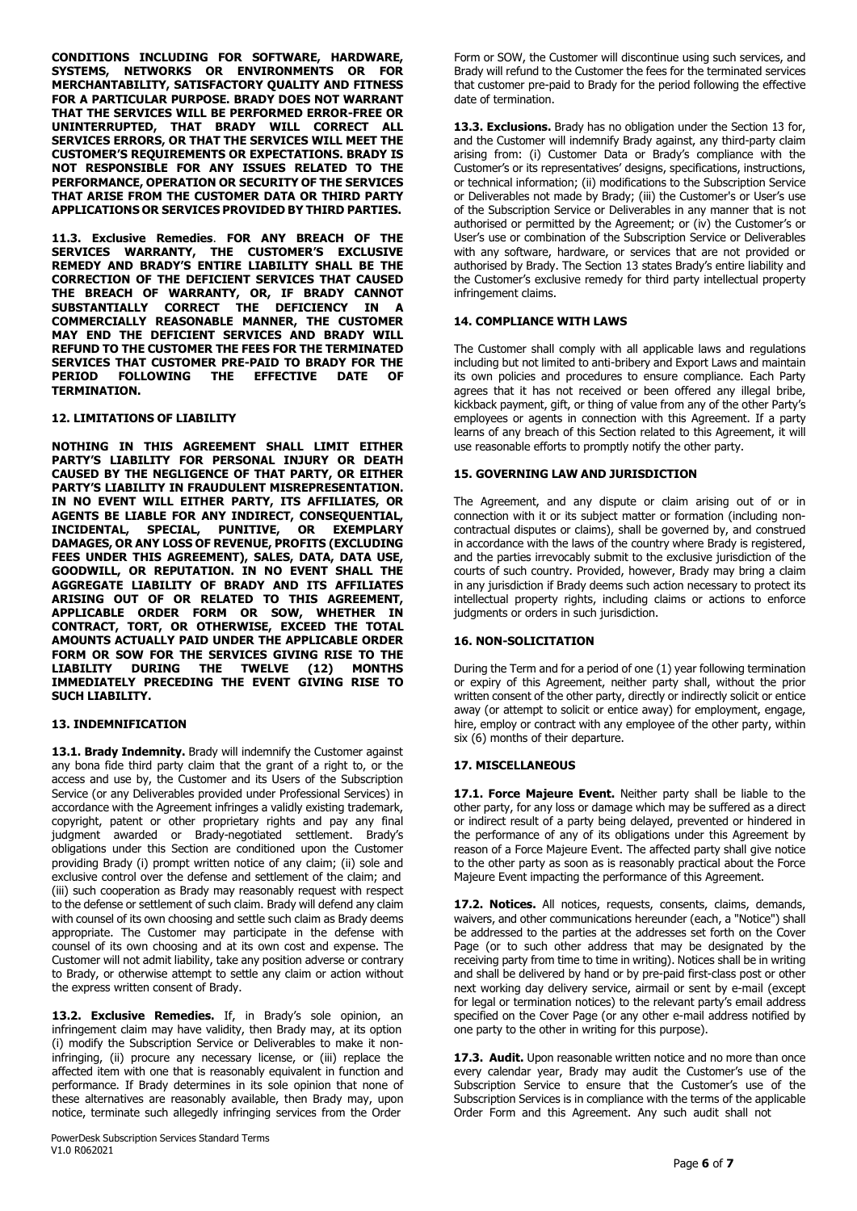**CONDITIONS INCLUDING FOR SOFTWARE, HARDWARE, SYSTEMS, NETWORKS OR ENVIRONMENTS OR FOR MERCHANTABILITY, SATISFACTORY QUALITY AND FITNESS FOR A PARTICULAR PURPOSE. BRADY DOES NOT WARRANT THAT THE SERVICES WILL BE PERFORMED ERROR-FREE OR UNINTERRUPTED, THAT BRADY WILL CORRECT ALL SERVICES ERRORS, OR THAT THE SERVICES WILL MEET THE CUSTOMER'S REQUIREMENTS OR EXPECTATIONS. BRADY IS NOT RESPONSIBLE FOR ANY ISSUES RELATED TO THE PERFORMANCE, OPERATION OR SECURITY OF THE SERVICES THAT ARISE FROM THE CUSTOMER DATA OR THIRD PARTY APPLICATIONS OR SERVICES PROVIDED BY THIRD PARTIES.**

**11.3. Exclusive Remedies**. **FOR ANY BREACH OF THE SERVICES WARRANTY, THE CUSTOMER'S EXCLUSIVE REMEDY AND BRADY'S ENTIRE LIABILITY SHALL BE THE CORRECTION OF THE DEFICIENT SERVICES THAT CAUSED THE BREACH OF WARRANTY, OR, IF BRADY CANNOT SUBSTANTIALLY CORRECT THE DEFICIENCY IN A COMMERCIALLY REASONABLE MANNER, THE CUSTOMER MAY END THE DEFICIENT SERVICES AND BRADY WILL REFUND TO THE CUSTOMER THE FEES FOR THE TERMINATED SERVICES THAT CUSTOMER PRE-PAID TO BRADY FOR THE PERIOD FOLLOWING THE EFFECTIVE DATE OF TERMINATION.**

### **12. LIMITATIONS OF LIABILITY**

**NOTHING IN THIS AGREEMENT SHALL LIMIT EITHER PARTY'S LIABILITY FOR PERSONAL INJURY OR DEATH CAUSED BY THE NEGLIGENCE OF THAT PARTY, OR EITHER PARTY'S LIABILITY IN FRAUDULENT MISREPRESENTATION. IN NO EVENT WILL EITHER PARTY, ITS AFFILIATES, OR AGENTS BE LIABLE FOR ANY INDIRECT, CONSEQUENTIAL, INCIDENTAL, SPECIAL, PUNITIVE, OR EXEMPLARY DAMAGES, OR ANY LOSS OF REVENUE, PROFITS (EXCLUDING FEES UNDER THIS AGREEMENT), SALES, DATA, DATA USE, GOODWILL, OR REPUTATION. IN NO EVENT SHALL THE AGGREGATE LIABILITY OF BRADY AND ITS AFFILIATES ARISING OUT OF OR RELATED TO THIS AGREEMENT, APPLICABLE ORDER FORM OR SOW, WHETHER IN CONTRACT, TORT, OR OTHERWISE, EXCEED THE TOTAL AMOUNTS ACTUALLY PAID UNDER THE APPLICABLE ORDER FORM OR SOW FOR THE SERVICES GIVING RISE TO THE LIABILITY DURING THE TWELVE (12) MONTHS IMMEDIATELY PRECEDING THE EVENT GIVING RISE TO SUCH LIABILITY.**

# **13. INDEMNIFICATION**

13.1. **Brady Indemnity.** Brady will indemnify the Customer against any bona fide third party claim that the grant of a right to, or the access and use by, the Customer and its Users of the Subscription Service (or any Deliverables provided under Professional Services) in accordance with the Agreement infringes a validly existing trademark, copyright, patent or other proprietary rights and pay any final judgment awarded or Brady-negotiated settlement. Brady's obligations under this Section are conditioned upon the Customer providing Brady (i) prompt written notice of any claim; (ii) sole and exclusive control over the defense and settlement of the claim; and (iii) such cooperation as Brady may reasonably request with respect to the defense or settlement of such claim. Brady will defend any claim with counsel of its own choosing and settle such claim as Brady deems appropriate. The Customer may participate in the defense with counsel of its own choosing and at its own cost and expense. The Customer will not admit liability, take any position adverse or contrary to Brady, or otherwise attempt to settle any claim or action without the express written consent of Brady.

**13.2. Exclusive Remedies.** If, in Brady's sole opinion, an infringement claim may have validity, then Brady may, at its option (i) modify the Subscription Service or Deliverables to make it noninfringing, (ii) procure any necessary license, or (iii) replace the affected item with one that is reasonably equivalent in function and performance. If Brady determines in its sole opinion that none of these alternatives are reasonably available, then Brady may, upon notice, terminate such allegedly infringing services from the Order

PowerDesk Subscription Services Standard Terms V1.0 R062021

Form or SOW, the Customer will discontinue using such services, and Brady will refund to the Customer the fees for the terminated services that customer pre-paid to Brady for the period following the effective date of termination.

**13.3. Exclusions.** Brady has no obligation under the Section 13 for, and the Customer will indemnify Brady against, any third-party claim arising from: (i) Customer Data or Brady's compliance with the Customer's or its representatives' designs, specifications, instructions, or technical information; (ii) modifications to the Subscription Service or Deliverables not made by Brady; (iii) the Customer's or User's use of the Subscription Service or Deliverables in any manner that is not authorised or permitted by the Agreement; or (iv) the Customer's or User's use or combination of the Subscription Service or Deliverables with any software, hardware, or services that are not provided or authorised by Brady. The Section 13 states Brady's entire liability and the Customer's exclusive remedy for third party intellectual property infringement claims.

# **14. COMPLIANCE WITH LAWS**

The Customer shall comply with all applicable laws and regulations including but not limited to anti-bribery and Export Laws and maintain its own policies and procedures to ensure compliance. Each Party agrees that it has not received or been offered any illegal bribe, kickback payment, gift, or thing of value from any of the other Party's employees or agents in connection with this Agreement. If a party learns of any breach of this Section related to this Agreement, it will use reasonable efforts to promptly notify the other party.

## **15. GOVERNING LAW AND JURISDICTION**

The Agreement, and any dispute or claim arising out of or in connection with it or its subject matter or formation (including noncontractual disputes or claims), shall be governed by, and construed in accordance with the laws of the country where Brady is registered, and the parties irrevocably submit to the exclusive jurisdiction of the courts of such country. Provided, however, Brady may bring a claim in any jurisdiction if Brady deems such action necessary to protect its intellectual property rights, including claims or actions to enforce judgments or orders in such jurisdiction.

## **16. NON-SOLICITATION**

During the Term and for a period of one (1) year following termination or expiry of this Agreement, neither party shall, without the prior written consent of the other party, directly or indirectly solicit or entice away (or attempt to solicit or entice away) for employment, engage, hire, employ or contract with any employee of the other party, within six (6) months of their departure.

## **17. MISCELLANEOUS**

**17.1. Force Majeure Event.** Neither party shall be liable to the other party, for any loss or damage which may be suffered as a direct or indirect result of a party being delayed, prevented or hindered in the performance of any of its obligations under this Agreement by reason of a Force Majeure Event. The affected party shall give notice to the other party as soon as is reasonably practical about the Force Majeure Event impacting the performance of this Agreement.

**17.2. Notices.** All notices, requests, consents, claims, demands, waivers, and other communications hereunder (each, a "Notice") shall be addressed to the parties at the addresses set forth on the Cover Page (or to such other address that may be designated by the receiving party from time to time in writing). Notices shall be in writing and shall be delivered by hand or by pre-paid first-class post or other next working day delivery service, airmail or sent by e-mail (except for legal or termination notices) to the relevant party's email address specified on the Cover Page (or any other e-mail address notified by one party to the other in writing for this purpose).

**17.3. Audit.** Upon reasonable written notice and no more than once every calendar year, Brady may audit the Customer's use of the Subscription Service to ensure that the Customer's use of the Subscription Services is in compliance with the terms of the applicable Order Form and this Agreement. Any such audit shall not